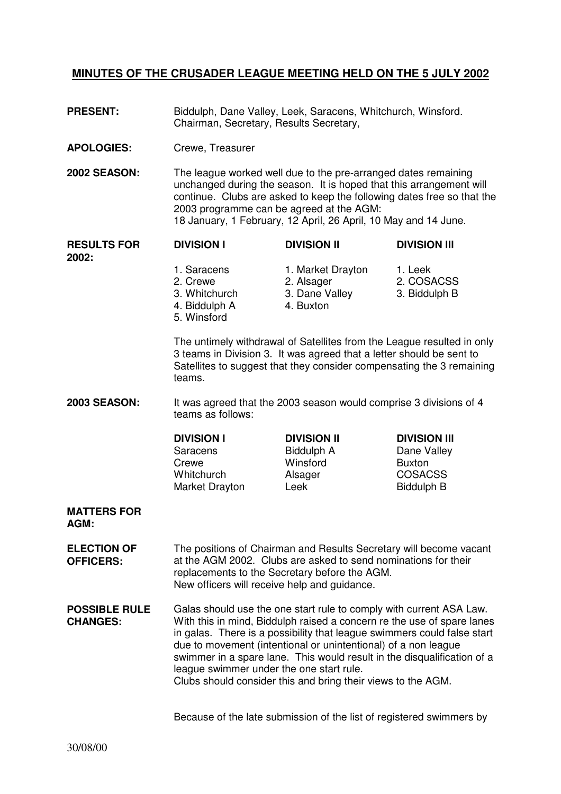## **MINUTES OF THE CRUSADER LEAGUE MEETING HELD ON THE 5 JULY 2002**

- **PRESENT:** Biddulph, Dane Valley, Leek, Saracens, Whitchurch, Winsford. Chairman, Secretary, Results Secretary,
- **APOLOGIES:** Crewe, Treasurer
- **2002 SEASON:** The league worked well due to the pre-arranged dates remaining unchanged during the season. It is hoped that this arrangement will continue. Clubs are asked to keep the following dates free so that the 2003 programme can be agreed at the AGM: 18 January, 1 February, 12 April, 26 April, 10 May and 14 June.

**RESULTS FOR 2002: DIVISION l DIVISION II DIVISION lll**  1. Saracens 1. Market Drayton 1. Leek 2. Crewe 2. Alsager 2. COSACSS

- - 3. Whitchurch 3. Dane Valley 3. Biddulph B<br>4. Biddulph A 4. Buxton 4. Biddulph A
	- 5. Winsford
- 

The untimely withdrawal of Satellites from the League resulted in only 3 teams in Division 3. It was agreed that a letter should be sent to Satellites to suggest that they consider compensating the 3 remaining teams.

**2003 SEASON:** It was agreed that the 2003 season would comprise 3 divisions of 4 teams as follows:

## **DIVISION l DIVISION II DIVISION lll**  Saracens Biddulph A Dane Valley Crewe **Winsford** Buxton Whitchurch **Alsager** COSACSS Market Drayton Leek Biddulph B

## **MATTERS FOR AGM:**

- **ELECTION OF OFFICERS:**  The positions of Chairman and Results Secretary will become vacant at the AGM 2002. Clubs are asked to send nominations for their replacements to the Secretary before the AGM. New officers will receive help and guidance.
- **POSSIBLE RULE CHANGES:**  Galas should use the one start rule to comply with current ASA Law. With this in mind, Biddulph raised a concern re the use of spare lanes in galas. There is a possibility that league swimmers could false start due to movement (intentional or unintentional) of a non league swimmer in a spare lane. This would result in the disqualification of a league swimmer under the one start rule. Clubs should consider this and bring their views to the AGM.

Because of the late submission of the list of registered swimmers by